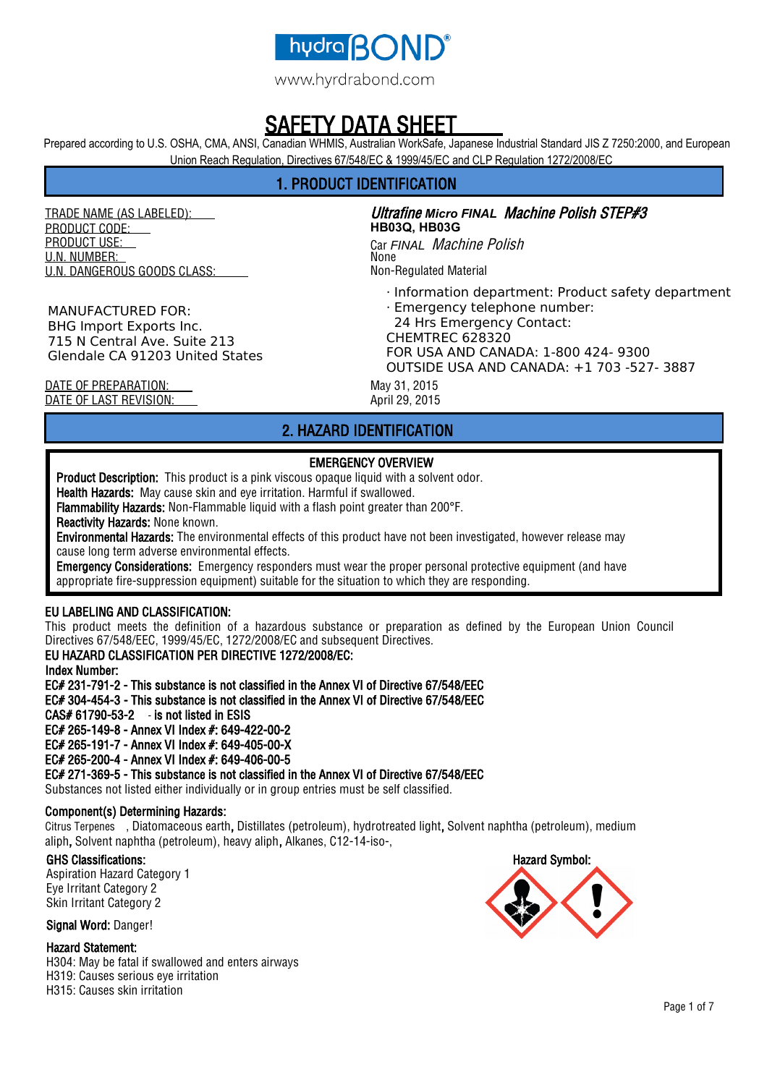

## Y DATA SHEET

Prepared according to U.S. OSHA, CMA, ANSI, Canadian WHMIS, Australian WorkSafe, Japanese Industrial Standard JIS Z 7250:2000, and European Union Reach Regulation, Directives 67/548/EC & 1999/45/EC and CLP Regulation 1272/2008/EC

## 1. PRODUCT IDENTIFICATION

TRADE NAME (AS LABELED): PRODUCT CODE: PRODUCT USE: U.N. NUMBER: U.N. DANGEROUS GOODS CLASS:

MANUFACTURED FOR: BHG Import Exports Inc. 715 N Central Ave. Suite 213 Glendale CA 91203 United States

Ultrafine *Micro FINAL* Machine Polish STEP#3 **HB03Q, HB03G** Car *FINAL* Machine Polish None Non-Regulated Material

- · Information department: Product safety department
- · Emergency telephone number:
- 24 Hrs Emergency Contact:

CHEMTREC 628320 FOR USA AND CANADA: 1-800 424- 9300 OUTSIDE USA AND CANADA: +1 703 -527- 3887

DATE OF PREPARATION: May 31, 2015 DATE OF LAST REVISION: April 29, 2015

## 2. HAZARD IDENTIFICATION

## EMERGENCY OVERVIEW

Product Description: This product is a pink viscous opaque liquid with a solvent odor.

Health Hazards: May cause skin and eye irritation. Harmful if swallowed.

Flammability Hazards: Non-Flammable liquid with a flash point greater than 200°F.

Reactivity Hazards: None known.

Environmental Hazards: The environmental effects of this product have not been investigated, however release may cause long term adverse environmental effects.

Emergency Considerations: Emergency responders must wear the proper personal protective equipment (and have appropriate fire-suppression equipment) suitable for the situation to which they are responding.

### EU LABELING AND CLASSIFICATION:

This product meets the definition of a hazardous substance or preparation as defined by the European Union Council Directives 67/548/EEC, 1999/45/EC, 1272/2008/EC and subsequent Directives.

### EU HAZARD CLASSIFICATION PER DIRECTIVE 1272/2008/EC:

Index Number:

EC# 231-791-2 - This substance is not classified in the Annex VI of Directive 67/548/EEC EC# 304-454-3 - This substance is not classified in the Annex VI of Directive 67/548/EEC CAS# 61790-53-2 - is not listed in ESIS EC# 265-149-8 - Annex VI Index #: 649-422-00-2 EC# 265-191-7 - Annex VI Index #: 649-405-00-X EC# 265-200-4 - Annex VI Index #: 649-406-00-5

EC# 271-369-5 - This substance is not classified in the Annex VI of Directive 67/548/EEC

Substances not listed either individually or in group entries must be self classified.

### Component(s) Determining Hazards:

Citrus Terpenes , Diatomaceous earth, Distillates (petroleum), hydrotreated light, Solvent naphtha (petroleum), medium aliph, Solvent naphtha (petroleum), heavy aliph, Alkanes, C12-14-iso-,

### GHS Classifications:

Aspiration Hazard Category 1 Eye Irritant Category 2 Skin Irritant Category 2

Signal Word: Danger!

#### Hazard Statement:

H304: May be fatal if swallowed and enters airways H319: Causes serious eye irritation H315: Causes skin irritation

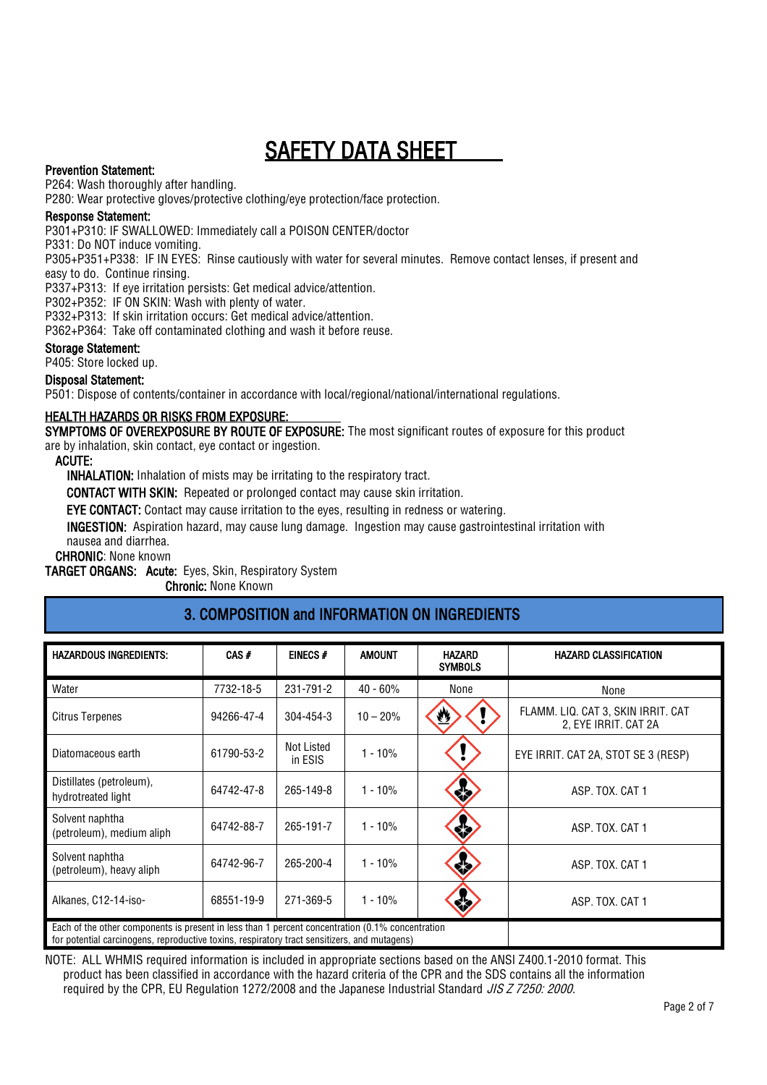### Prevention Statement:

P264: Wash thoroughly after handling.

P280: Wear protective gloves/protective clothing/eye protection/face protection.

### Response Statement:

P301+P310: IF SWALLOWED: Immediately call a POISON CENTER/doctor

P331: Do NOT induce vomiting.

P305+P351+P338: IF IN EYES: Rinse cautiously with water for several minutes. Remove contact lenses, if present and easy to do. Continue rinsing.

P337+P313: If eye irritation persists: Get medical advice/attention.

P302+P352: IF ON SKIN: Wash with plenty of water.

P332+P313: If skin irritation occurs: Get medical advice/attention.

P362+P364: Take off contaminated clothing and wash it before reuse.

### Storage Statement:

P405: Store locked up.

#### Disposal Statement:

P501: Dispose of contents/container in accordance with local/regional/national/international regulations.

### HEALTH HAZARDS OR RISKS FROM EXPOSURE:

SYMPTOMS OF OVEREXPOSURE BY ROUTE OF EXPOSURE: The most significant routes of exposure for this product are by inhalation, skin contact, eye contact or ingestion.

ACUTE:

INHALATION: Inhalation of mists may be irritating to the respiratory tract.

CONTACT WITH SKIN: Repeated or prolonged contact may cause skin irritation.

EYE CONTACT: Contact may cause irritation to the eyes, resulting in redness or watering.

INGESTION: Aspiration hazard, may cause lung damage. Ingestion may cause gastrointestinal irritation with nausea and diarrhea.

CHRONIC: None known

TARGET ORGANS: Acute: Eyes, Skin, Respiratory System

Chronic: None Known

## 3. COMPOSITION and INFORMATION ON INGREDIENTS

| <b>HAZARDOUS INGREDIENTS:</b>                                                                                                                                                                    | $CAS +$    | EINECS#                      | <b>AMOUNT</b> | <b>HAZARD</b><br><b>SYMBOLS</b> | <b>HAZARD CLASSIFICATION</b>                               |  |
|--------------------------------------------------------------------------------------------------------------------------------------------------------------------------------------------------|------------|------------------------------|---------------|---------------------------------|------------------------------------------------------------|--|
| Water                                                                                                                                                                                            | 7732-18-5  | 231-791-2                    | $40 - 60%$    | None                            | None                                                       |  |
| <b>Citrus Terpenes</b>                                                                                                                                                                           | 94266-47-4 | 304-454-3                    | $10 - 20%$    | ₩                               | FLAMM. LIQ. CAT 3, SKIN IRRIT. CAT<br>2. EYE IRRIT. CAT 2A |  |
| Diatomaceous earth                                                                                                                                                                               | 61790-53-2 | <b>Not Listed</b><br>in ESIS | $1 - 10%$     |                                 | EYE IRRIT. CAT 2A, STOT SE 3 (RESP)                        |  |
| Distillates (petroleum),<br>hydrotreated light                                                                                                                                                   | 64742-47-8 | 265-149-8                    | $1 - 10%$     | 态                               | ASP. TOX. CAT 1                                            |  |
| Solvent naphtha<br>(petroleum), medium aliph                                                                                                                                                     | 64742-88-7 | 265-191-7                    | $1 - 10%$     | 浓                               | ASP. TOX. CAT 1                                            |  |
| Solvent naphtha<br>(petroleum), heavy aliph                                                                                                                                                      | 64742-96-7 | 265-200-4                    | $1 - 10%$     | 黍                               | ASP. TOX. CAT 1                                            |  |
| Alkanes, C12-14-iso-                                                                                                                                                                             | 68551-19-9 | 271-369-5                    | $1 - 10%$     | УŻ                              | ASP. TOX. CAT 1                                            |  |
| Each of the other components is present in less than 1 percent concentration (0.1% concentration<br>for potential carcinogens, reproductive toxins, respiratory tract sensitizers, and mutagens) |            |                              |               |                                 |                                                            |  |

NOTE: ALL WHMIS required information is included in appropriate sections based on the ANSI Z400.1-2010 format. This product has been classified in accordance with the hazard criteria of the CPR and the SDS contains all the information required by the CPR, EU Regulation 1272/2008 and the Japanese Industrial Standard JIS Z 7250: 2000.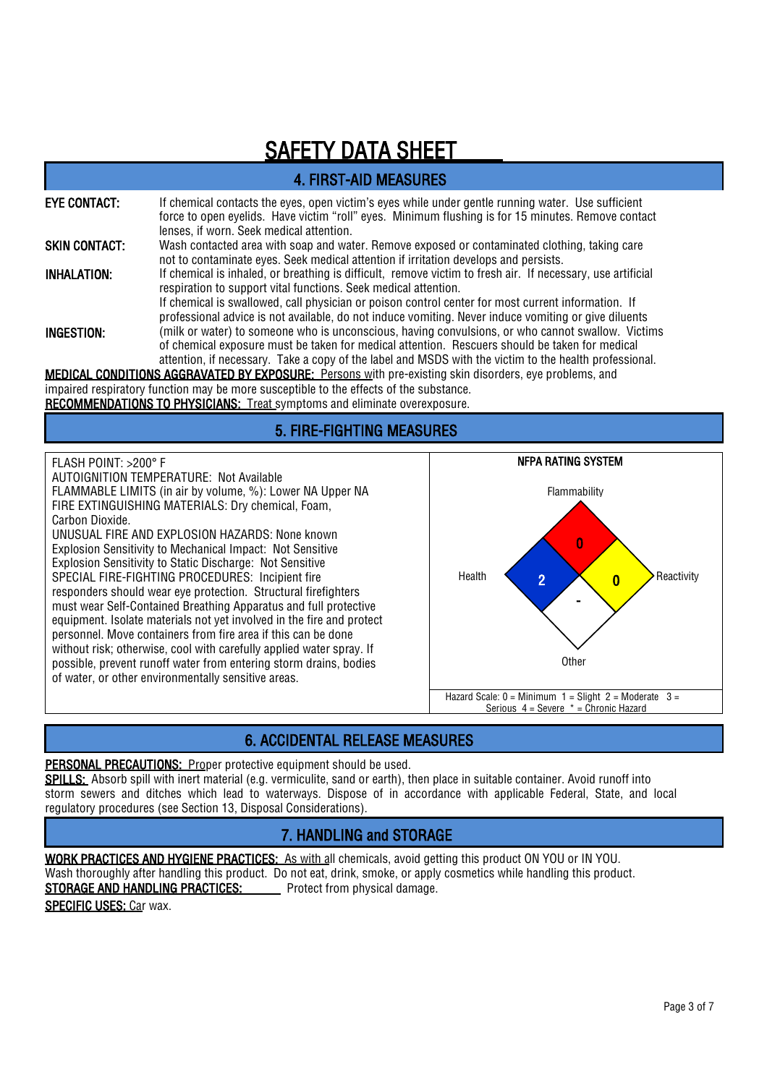| <b>4. FIRST-AID MEASURES</b>     |                                                                                                                                                                                                                                                                                                                                                                                              |  |  |  |  |
|----------------------------------|----------------------------------------------------------------------------------------------------------------------------------------------------------------------------------------------------------------------------------------------------------------------------------------------------------------------------------------------------------------------------------------------|--|--|--|--|
| <b>EYE CONTACT:</b>              | If chemical contacts the eyes, open victim's eyes while under gentle running water. Use sufficient<br>force to open eyelids. Have victim "roll" eyes. Minimum flushing is for 15 minutes. Remove contact<br>lenses, if worn. Seek medical attention.                                                                                                                                         |  |  |  |  |
| <b>SKIN CONTACT:</b>             | Wash contacted area with soap and water. Remove exposed or contaminated clothing, taking care<br>not to contaminate eyes. Seek medical attention if irritation develops and persists.                                                                                                                                                                                                        |  |  |  |  |
| <b>INHALATION:</b>               | If chemical is inhaled, or breathing is difficult, remove victim to fresh air. If necessary, use artificial<br>respiration to support vital functions. Seek medical attention.<br>If chemical is swallowed, call physician or poison control center for most current information. If<br>professional advice is not available, do not induce vomiting. Never induce vomiting or give diluents |  |  |  |  |
| <b>INGESTION:</b>                | (milk or water) to someone who is unconscious, having convulsions, or who cannot swallow. Victims<br>of chemical exposure must be taken for medical attention. Rescuers should be taken for medical<br>attention, if necessary. Take a copy of the label and MSDS with the victim to the health professional.                                                                                |  |  |  |  |
|                                  | <b>MEDICAL CONDITIONS AGGRAVATED BY EXPOSURE:</b> Persons with pre-existing skin disorders, eye problems, and                                                                                                                                                                                                                                                                                |  |  |  |  |
|                                  | impaired respiratory function may be more susceptible to the effects of the substance.<br><b>RECOMMENDATIONS TO PHYSICIANS: Treat symptoms and eliminate overexposure.</b>                                                                                                                                                                                                                   |  |  |  |  |
| <b>5. FIRE-FIGHTING MEASURES</b> |                                                                                                                                                                                                                                                                                                                                                                                              |  |  |  |  |

FLASH POINT: >200° F

AUTOIGNITION TEMPERATURE: Not Available FLAMMABLE LIMITS (in air by volume, %): Lower NA Upper NA FIRE EXTINGUISHING MATERIALS: Dry chemical, Foam, Carbon Dioxide.

UNUSUAL FIRE AND EXPLOSION HAZARDS: None known Explosion Sensitivity to Mechanical Impact: Not Sensitive Explosion Sensitivity to Static Discharge: Not Sensitive SPECIAL FIRE-FIGHTING PROCEDURES: Incipient fire responders should wear eye protection. Structural firefighters must wear Self-Contained Breathing Apparatus and full protective equipment. Isolate materials not yet involved in the fire and protect personnel. Move containers from fire area if this can be done without risk; otherwise, cool with carefully applied water spray. If possible, prevent runoff water from entering storm drains, bodies of water, or other environmentally sensitive areas.



## 6. ACCIDENTAL RELEASE MEASURES

PERSONAL PRECAUTIONS: Proper protective equipment should be used.

SPILLS: Absorb spill with inert material (e.g. vermiculite, sand or earth), then place in suitable container. Avoid runoff into storm sewers and ditches which lead to waterways. Dispose of in accordance with applicable Federal, State, and local regulatory procedures (see Section 13, Disposal Considerations).

## 7. HANDLING and STORAGE

WORK PRACTICES AND HYGIENE PRACTICES: As with all chemicals, avoid getting this product ON YOU or IN YOU. Wash thoroughly after handling this product. Do not eat, drink, smoke, or apply cosmetics while handling this product. STORAGE AND HANDLING PRACTICES: Protect from physical damage.

SPECIFIC USES: Car wax.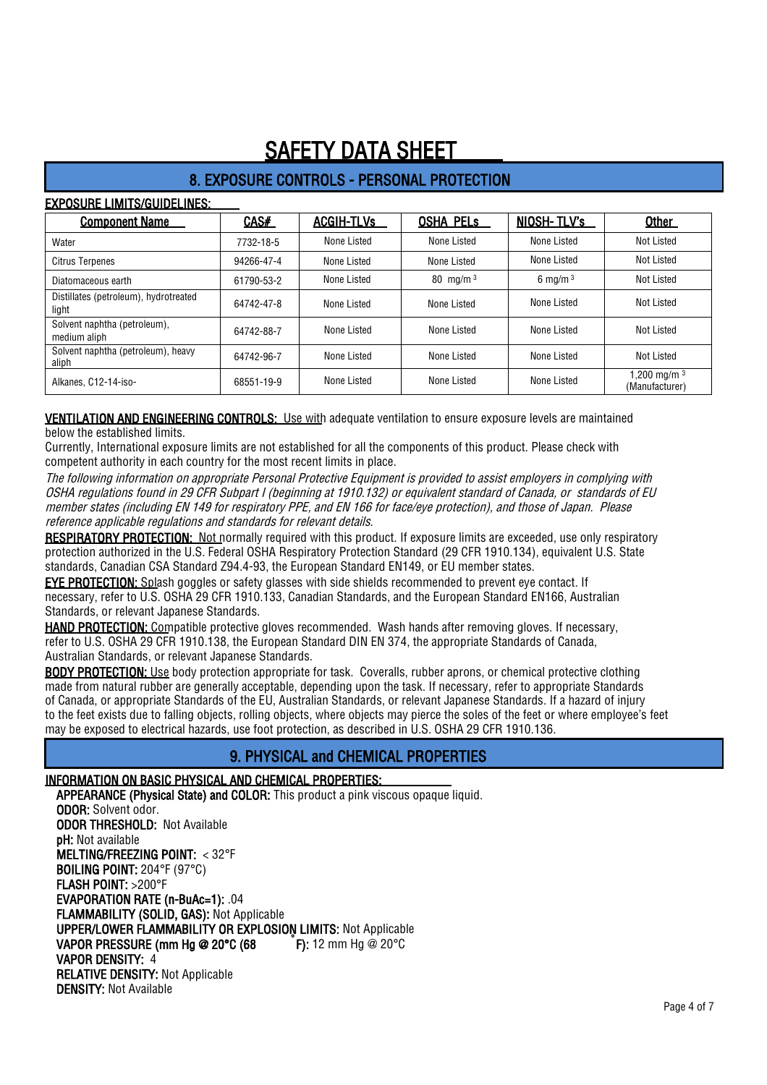## 8. EXPOSURE CONTROLS - PERSONAL PROTECTION

### EXPOSURE LIMITS/GUIDELINES:

| <b>Component Name</b>                          | CAS#       | <b>ACGIH-TLVs</b> | <b>OSHA PELS</b> | NIOSH-TLV's        | Other                             |
|------------------------------------------------|------------|-------------------|------------------|--------------------|-----------------------------------|
| Water                                          | 7732-18-5  | None Listed       | None Listed      | None Listed        | Not Listed                        |
| <b>Citrus Terpenes</b>                         | 94266-47-4 | None Listed       | None Listed      | None Listed        | <b>Not Listed</b>                 |
| Diatomaceous earth                             | 61790-53-2 | None Listed       | 80 mg/m $3$      | $6 \text{ ma/m}^3$ | <b>Not Listed</b>                 |
| Distillates (petroleum), hydrotreated<br>light | 64742-47-8 | None Listed       | None Listed      | None Listed        | Not Listed                        |
| Solvent naphtha (petroleum),<br>medium aliph   | 64742-88-7 | None Listed       | None Listed      | None Listed        | Not Listed                        |
| Solvent naphtha (petroleum), heavy<br>aliph    | 64742-96-7 | None Listed       | None Listed      | None Listed        | Not Listed                        |
| Alkanes. C12-14-iso-                           | 68551-19-9 | None Listed       | None Listed      | None Listed        | 1,200 mg/m $^3$<br>(Manufacturer) |

VENTILATION AND ENGINEERING CONTROLS: Use with adequate ventilation to ensure exposure levels are maintained below the established limits.

Currently, International exposure limits are not established for all the components of this product. Please check with competent authority in each country for the most recent limits in place.

The following information on appropriate Personal Protective Equipment is provided to assist employers in complying with OSHA regulations found in 29 CFR Subpart I (beginning at 1910.132) or equivalent standard of Canada, or standards of EU member states (including EN 149 for respiratory PPE, and EN 166 for face/eye protection), and those of Japan. Please reference applicable regulations and standards for relevant details.

RESPIRATORY PROTECTION: Not normally required with this product. If exposure limits are exceeded, use only respiratory protection authorized in the U.S. Federal OSHA Respiratory Protection Standard (29 CFR 1910.134), equivalent U.S. State standards, Canadian CSA Standard Z94.4-93, the European Standard EN149, or EU member states.

**EYE PROTECTION:** Splash goggles or safety glasses with side shields recommended to prevent eye contact. If necessary, refer to U.S. OSHA 29 CFR 1910.133, Canadian Standards, and the European Standard EN166, Australian Standards, or relevant Japanese Standards.

HAND PROTECTION: Compatible protective gloves recommended. Wash hands after removing gloves. If necessary, refer to U.S. OSHA 29 CFR 1910.138, the European Standard DIN EN 374, the appropriate Standards of Canada, Australian Standards, or relevant Japanese Standards.

BODY PROTECTION: Use body protection appropriate for task. Coveralls, rubber aprons, or chemical protective clothing made from natural rubber are generally acceptable, depending upon the task. If necessary, refer to appropriate Standards of Canada, or appropriate Standards of the EU, Australian Standards, or relevant Japanese Standards. If a hazard of injury to the feet exists due to falling objects, rolling objects, where objects may pierce the soles of the feet or where employee's feet may be exposed to electrical hazards, use foot protection, as described in U.S. OSHA 29 CFR 1910.136.

## 9. PHYSICAL and CHEMICAL PROPERTIES

### INFORMATION ON BASIC PHYSICAL AND CHEMICAL PROPERTIES:

APPEARANCE (Physical State) and COLOR: This product a pink viscous opaque liquid. ODOR: Solvent odor. ODOR THRESHOLD: Not Available pH: Not available MELTING/FREEZING POINT: < 32°F BOILING POINT: 204°F (97°C) FLASH POINT: >200°F EVAPORATION RATE (n-BuAc=1): .04 FLAMMABILITY (SOLID, GAS): Not Applicable UPPER/LOWER FLAMMABILITY OR EXPLOSION LIMITS: Not Applicable VAPOR PRESSURE (mm Hg @ 20°C (68 F): 12 mm Hg @ 20°C VAPOR DENSITY: 4 RELATIVE DENSITY: Not Applicable DENSITY: Not Available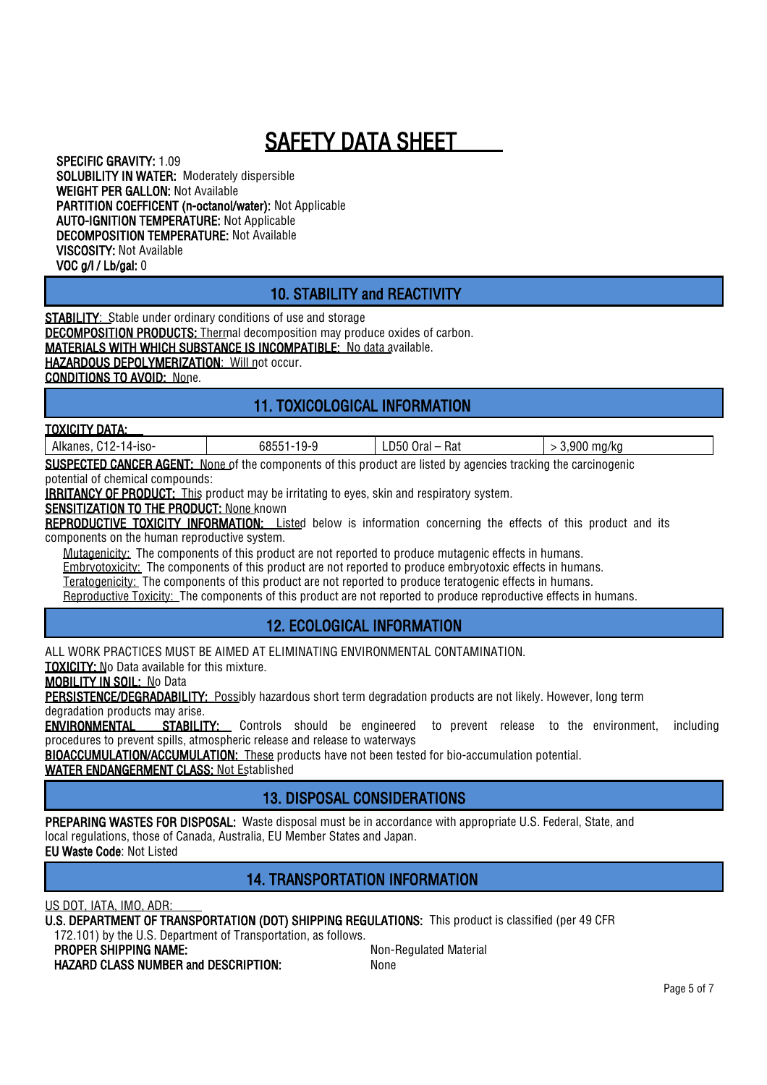SPECIFIC GRAVITY: 1.09 SOLUBILITY IN WATER: Moderately dispersible WEIGHT PER GALLON: Not Available PARTITION COEFFICENT (n-octanol/water): Not Applicable AUTO-IGNITION TEMPERATURE: Not Applicable DECOMPOSITION TEMPERATURE: Not Available VISCOSITY: Not Available VOC g/l / Lb/gal: 0

## 10. STABILITY and REACTIVITY

**STABILITY:** Stable under ordinary conditions of use and storage **DECOMPOSITION PRODUCTS:** Thermal decomposition may produce oxides of carbon. MATERIALS WITH WHICH SUBSTANCE IS INCOMPATIBLE: No data available. HAZARDOUS DEPOLYMERIZATION: Will not occur.

CONDITIONS TO AVOID: None.

## 11. TOXICOLOGICAL INFORMATION

#### TOXICITY DATA:

Alkanes, C12-14-iso- 68551-19-9 LD50 Oral – Rat > 3,900 mg/kg

**SUSPECTED CANCER AGENT:** None of the components of this product are listed by agencies tracking the carcinogenic potential of chemical compounds:

**IRRITANCY OF PRODUCT:** This product may be irritating to eyes, skin and respiratory system.

SENSITIZATION TO THE PRODUCT: None known

REPRODUCTIVE TOXICITY INFORMATION: Listed below is information concerning the effects of this product and its components on the human reproductive system.

Mutagenicity: The components of this product are not reported to produce mutagenic effects in humans. Embryotoxicity: The components of this product are not reported to produce embryotoxic effects in humans. Teratogenicity: The components of this product are not reported to produce teratogenic effects in humans. Reproductive Toxicity: The components of this product are not reported to produce reproductive effects in humans.

## 12. ECOLOGICAL INFORMATION

ALL WORK PRACTICES MUST BE AIMED AT ELIMINATING ENVIRONMENTAL CONTAMINATION.

TOXICITY: No Data available for this mixture.

MOBILITY IN SOIL: No Data

PERSISTENCE/DEGRADABILITY: Possibly hazardous short term degradation products are not likely. However, long term degradation products may arise.

**ENVIRONMENTAL** STABILITY: Controls should be engineered to prevent release to the environment, including procedures to prevent spills, atmospheric release and release to waterways

BIOACCUMULATION/ACCUMULATION: These products have not been tested for bio-accumulation potential.

WATER ENDANGERMENT CLASS: Not Established

## 13. DISPOSAL CONSIDERATIONS

PREPARING WASTES FOR DISPOSAL: Waste disposal must be in accordance with appropriate U.S. Federal, State, and local regulations, those of Canada, Australia, EU Member States and Japan.

EU Waste Code: Not Listed

## 14. TRANSPORTATION INFORMATION

US DOT, IATA, IMO, ADR:

U.S. DEPARTMENT OF TRANSPORTATION (DOT) SHIPPING REGULATIONS: This product is classified (per 49 CFR

172.101) by the U.S. Department of Transportation, as follows.

**PROPER SHIPPING NAME:** Non-Regulated Material

HAZARD CLASS NUMBER and DESCRIPTION: None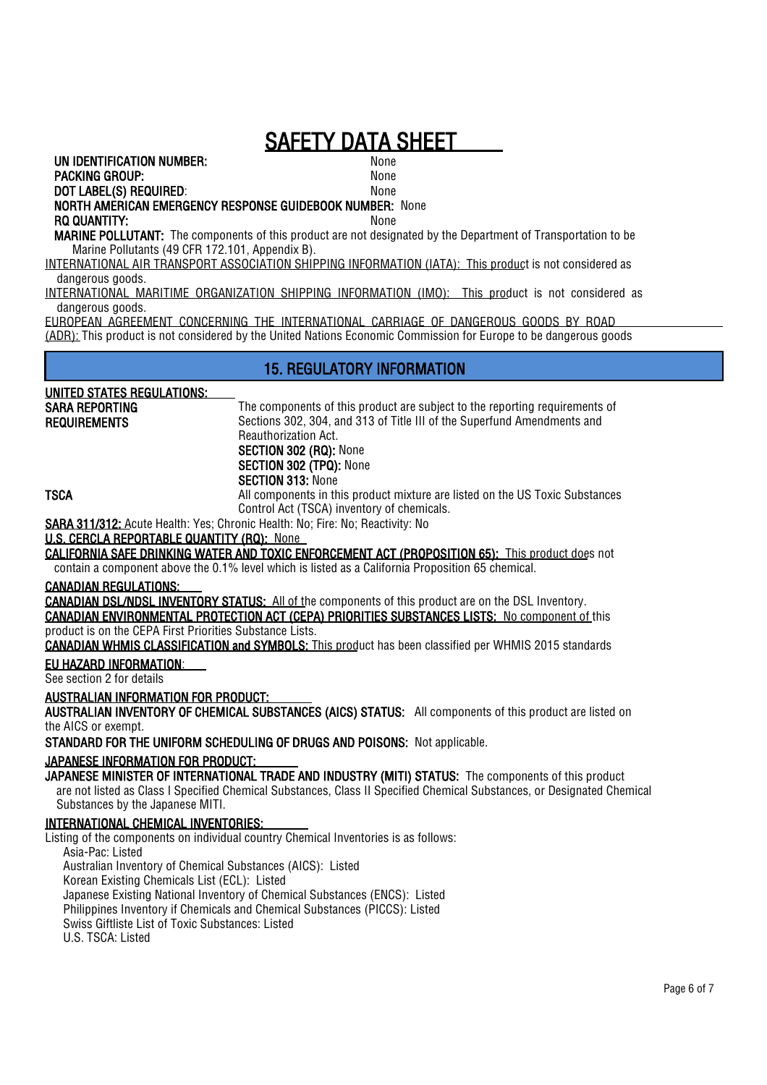UN IDENTIFICATION NUMBER:

PACKING GROUP: None

#### DOT LABEL(S) REQUIRED: None NORTH AMERICAN EMERGENCY RESPONSE GUIDEBOOK NUMBER: None RQ QUANTITY: None

MARINE POLLUTANT: The components of this product are not designated by the Department of Transportation to be Marine Pollutants (49 CFR 172.101, Appendix B).

INTERNATIONAL AIR TRANSPORT ASSOCIATION SHIPPING INFORMATION (IATA): This product is not considered as dangerous goods.

INTERNATIONAL MARITIME ORGANIZATION SHIPPING INFORMATION (IMO): This product is not considered as dangerous goods.

EUROPEAN AGREEMENT CONCERNING THE INTERNATIONAL CARRIAGE OF DANGEROUS GOODS BY ROAD (ADR): This product is not considered by the United Nations Economic Commission for Europe to be dangerous goods

## 15. REGULATORY INFORMATION

### UNITED STATES REGULATIONS:

SARA REPORTING REQUIREMENTS The components of this product are subject to the reporting requirements of Sections 302, 304, and 313 of Title III of the Superfund Amendments and Reauthorization Act. SECTION 302 (RQ): None SECTION 302 (TPQ): None SECTION 313: None

**TSCA** All components in this product mixture are listed on the US Toxic Substances Control Act (TSCA) inventory of chemicals.

SARA 311/312: Acute Health: Yes; Chronic Health: No; Fire: No; Reactivity: No

## U.S. CERCLA REPORTABLE QUANTITY (RQ): None

CALIFORNIA SAFE DRINKING WATER AND TOXIC ENFORCEMENT ACT (PROPOSITION 65): This product does not contain a component above the 0.1% level which is listed as a California Proposition 65 chemical.

#### CANADIAN REGULATIONS:

CANADIAN DSL/NDSL INVENTORY STATUS: All of the components of this product are on the DSL Inventory. CANADIAN ENVIRONMENTAL PROTECTION ACT (CEPA) PRIORITIES SUBSTANCES LISTS: No component of this product is on the CEPA First Priorities Substance Lists.

CANADIAN WHMIS CLASSIFICATION and SYMBOLS: This product has been classified per WHMIS 2015 standards

## EU HAZARD INFORMATION:

See section 2 for details

#### AUSTRALIAN INFORMATION FOR PRODUCT:

AUSTRALIAN INVENTORY OF CHEMICAL SUBSTANCES (AICS) STATUS: All components of this product are listed on the AICS or exempt.

STANDARD FOR THE UNIFORM SCHEDULING OF DRUGS AND POISONS: Not applicable.

JAPANESE INFORMATION FOR PRODUCT:

JAPANESE MINISTER OF INTERNATIONAL TRADE AND INDUSTRY (MITI) STATUS: The components of this product are not listed as Class I Specified Chemical Substances, Class II Specified Chemical Substances, or Designated Chemical Substances by the Japanese MITI.

### INTERNATIONAL CHEMICAL INVENTORIES:

Listing of the components on individual country Chemical Inventories is as follows: Asia-Pac: Listed Australian Inventory of Chemical Substances (AICS): Listed Korean Existing Chemicals List (ECL): Listed Japanese Existing National Inventory of Chemical Substances (ENCS): Listed Philippines Inventory if Chemicals and Chemical Substances (PICCS): Listed Swiss Giftliste List of Toxic Substances: Listed U.S. TSCA: Listed